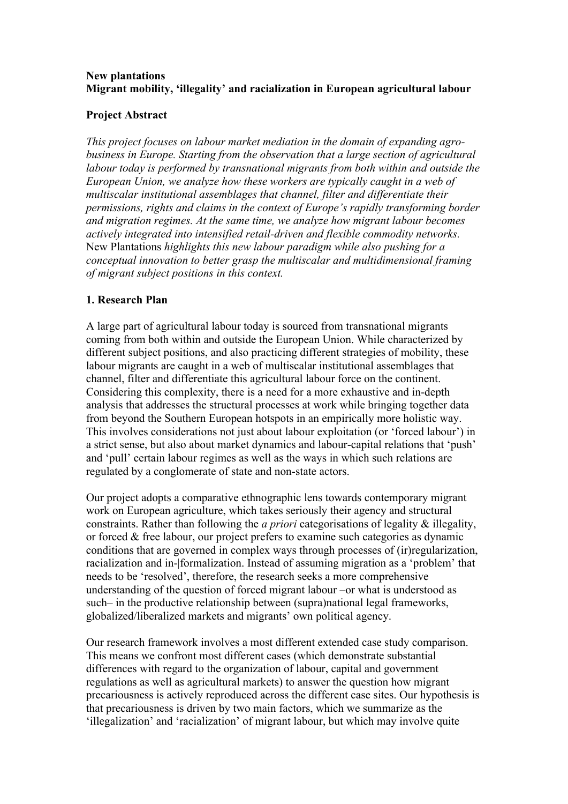## **New plantations Migrant mobility, 'illegality' and racialization in European agricultural labour**

#### **Project Abstract**

*This project focuses on labour market mediation in the domain of expanding agrobusiness in Europe. Starting from the observation that a large section of agricultural labour today is performed by transnational migrants from both within and outside the European Union, we analyze how these workers are typically caught in a web of multiscalar institutional assemblages that channel, filter and differentiate their permissions, rights and claims in the context of Europe's rapidly transforming border and migration regimes. At the same time, we analyze how migrant labour becomes actively integrated into intensified retail-driven and flexible commodity networks.*  New Plantations *highlights this new labour paradigm while also pushing for a conceptual innovation to better grasp the multiscalar and multidimensional framing of migrant subject positions in this context.*

## **1. Research Plan**

A large part of agricultural labour today is sourced from transnational migrants coming from both within and outside the European Union. While characterized by different subject positions, and also practicing different strategies of mobility, these labour migrants are caught in a web of multiscalar institutional assemblages that channel, filter and differentiate this agricultural labour force on the continent. Considering this complexity, there is a need for a more exhaustive and in-depth analysis that addresses the structural processes at work while bringing together data from beyond the Southern European hotspots in an empirically more holistic way. This involves considerations not just about labour exploitation (or 'forced labour') in a strict sense, but also about market dynamics and labour-capital relations that 'push' and 'pull' certain labour regimes as well as the ways in which such relations are regulated by a conglomerate of state and non-state actors.

Our project adopts a comparative ethnographic lens towards contemporary migrant work on European agriculture, which takes seriously their agency and structural constraints. Rather than following the *a priori* categorisations of legality & illegality, or forced & free labour, our project prefers to examine such categories as dynamic conditions that are governed in complex ways through processes of (ir)regularization, racialization and in-|formalization. Instead of assuming migration as a 'problem' that needs to be 'resolved', therefore, the research seeks a more comprehensive understanding of the question of forced migrant labour –or what is understood as such– in the productive relationship between (supra)national legal frameworks, globalized/liberalized markets and migrants' own political agency.

Our research framework involves a most different extended case study comparison. This means we confront most different cases (which demonstrate substantial differences with regard to the organization of labour, capital and government regulations as well as agricultural markets) to answer the question how migrant precariousness is actively reproduced across the different case sites. Our hypothesis is that precariousness is driven by two main factors, which we summarize as the 'illegalization' and 'racialization' of migrant labour, but which may involve quite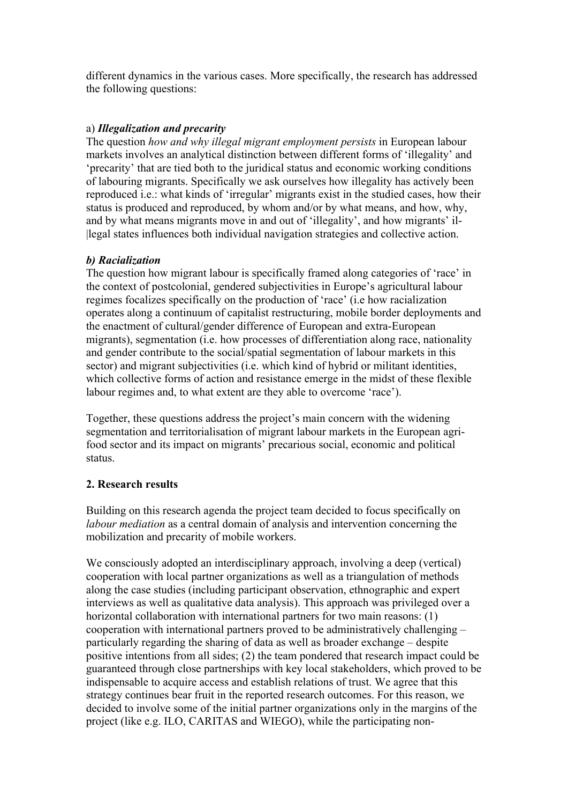different dynamics in the various cases. More specifically, the research has addressed the following questions:

## a) *Illegalization and precarity*

The question *how and why illegal migrant employment persists* in European labour markets involves an analytical distinction between different forms of 'illegality' and 'precarity' that are tied both to the juridical status and economic working conditions of labouring migrants. Specifically we ask ourselves how illegality has actively been reproduced i.e.: what kinds of 'irregular' migrants exist in the studied cases, how their status is produced and reproduced, by whom and/or by what means, and how, why, and by what means migrants move in and out of 'illegality', and how migrants' il- |legal states influences both individual navigation strategies and collective action.

#### *b) Racialization*

The question how migrant labour is specifically framed along categories of 'race' in the context of postcolonial, gendered subjectivities in Europe's agricultural labour regimes focalizes specifically on the production of 'race' (i.e how racialization operates along a continuum of capitalist restructuring, mobile border deployments and the enactment of cultural/gender difference of European and extra-European migrants), segmentation (i.e. how processes of differentiation along race, nationality and gender contribute to the social/spatial segmentation of labour markets in this sector) and migrant subjectivities (i.e. which kind of hybrid or militant identities, which collective forms of action and resistance emerge in the midst of these flexible labour regimes and, to what extent are they able to overcome 'race').

Together, these questions address the project's main concern with the widening segmentation and territorialisation of migrant labour markets in the European agrifood sector and its impact on migrants' precarious social, economic and political status.

## **2. Research results**

Building on this research agenda the project team decided to focus specifically on *labour mediation* as a central domain of analysis and intervention concerning the mobilization and precarity of mobile workers.

We consciously adopted an interdisciplinary approach, involving a deep (vertical) cooperation with local partner organizations as well as a triangulation of methods along the case studies (including participant observation, ethnographic and expert interviews as well as qualitative data analysis). This approach was privileged over a horizontal collaboration with international partners for two main reasons: (1) cooperation with international partners proved to be administratively challenging – particularly regarding the sharing of data as well as broader exchange – despite positive intentions from all sides; (2) the team pondered that research impact could be guaranteed through close partnerships with key local stakeholders, which proved to be indispensable to acquire access and establish relations of trust. We agree that this strategy continues bear fruit in the reported research outcomes. For this reason, we decided to involve some of the initial partner organizations only in the margins of the project (like e.g. ILO, CARITAS and WIEGO), while the participating non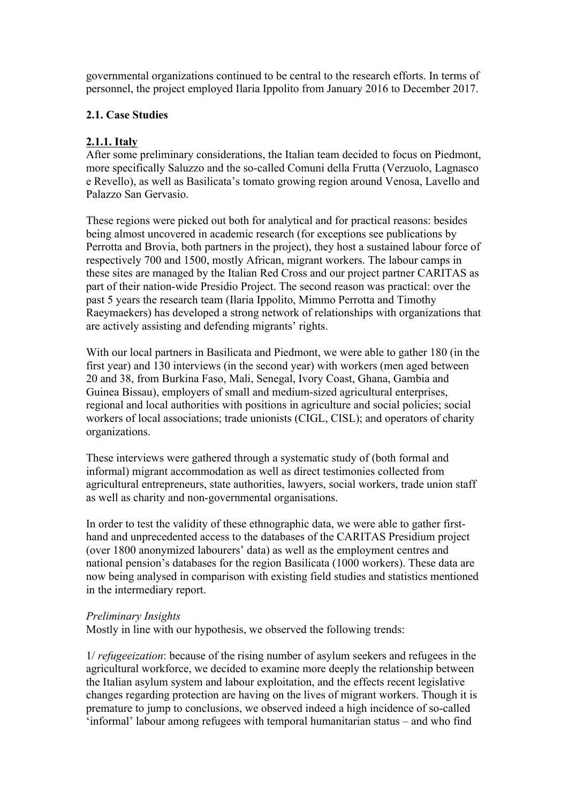governmental organizations continued to be central to the research efforts. In terms of personnel, the project employed Ilaria Ippolito from January 2016 to December 2017.

## **2.1. Case Studies**

## **2.1.1. Italy**

After some preliminary considerations, the Italian team decided to focus on Piedmont, more specifically Saluzzo and the so-called Comuni della Frutta (Verzuolo, Lagnasco e Revello), as well as Basilicata's tomato growing region around Venosa, Lavello and Palazzo San Gervasio.

These regions were picked out both for analytical and for practical reasons: besides being almost uncovered in academic research (for exceptions see publications by Perrotta and Brovia, both partners in the project), they host a sustained labour force of respectively 700 and 1500, mostly African, migrant workers. The labour camps in these sites are managed by the Italian Red Cross and our project partner CARITAS as part of their nation-wide Presidio Project. The second reason was practical: over the past 5 years the research team (Ilaria Ippolito, Mimmo Perrotta and Timothy Raeymaekers) has developed a strong network of relationships with organizations that are actively assisting and defending migrants' rights.

With our local partners in Basilicata and Piedmont, we were able to gather 180 (in the first year) and 130 interviews (in the second year) with workers (men aged between 20 and 38, from Burkina Faso, Mali, Senegal, Ivory Coast, Ghana, Gambia and Guinea Bissau), employers of small and medium-sized agricultural enterprises, regional and local authorities with positions in agriculture and social policies; social workers of local associations; trade unionists (CIGL, CISL); and operators of charity organizations.

These interviews were gathered through a systematic study of (both formal and informal) migrant accommodation as well as direct testimonies collected from agricultural entrepreneurs, state authorities, lawyers, social workers, trade union staff as well as charity and non-governmental organisations.

In order to test the validity of these ethnographic data, we were able to gather firsthand and unprecedented access to the databases of the CARITAS Presidium project (over 1800 anonymized labourers' data) as well as the employment centres and national pension's databases for the region Basilicata (1000 workers). These data are now being analysed in comparison with existing field studies and statistics mentioned in the intermediary report.

## *Preliminary Insights*

Mostly in line with our hypothesis, we observed the following trends:

1/ *refugeeization*: because of the rising number of asylum seekers and refugees in the agricultural workforce, we decided to examine more deeply the relationship between the Italian asylum system and labour exploitation, and the effects recent legislative changes regarding protection are having on the lives of migrant workers. Though it is premature to jump to conclusions, we observed indeed a high incidence of so-called 'informal' labour among refugees with temporal humanitarian status – and who find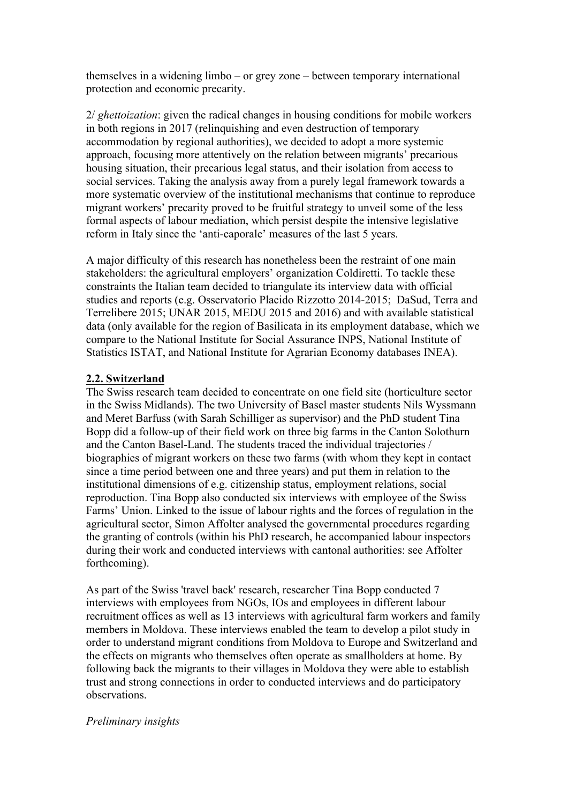themselves in a widening limbo – or grey zone – between temporary international protection and economic precarity.

2/ *ghettoization*: given the radical changes in housing conditions for mobile workers in both regions in 2017 (relinquishing and even destruction of temporary accommodation by regional authorities), we decided to adopt a more systemic approach, focusing more attentively on the relation between migrants' precarious housing situation, their precarious legal status, and their isolation from access to social services. Taking the analysis away from a purely legal framework towards a more systematic overview of the institutional mechanisms that continue to reproduce migrant workers' precarity proved to be fruitful strategy to unveil some of the less formal aspects of labour mediation, which persist despite the intensive legislative reform in Italy since the 'anti-caporale' measures of the last 5 years.

A major difficulty of this research has nonetheless been the restraint of one main stakeholders: the agricultural employers' organization Coldiretti. To tackle these constraints the Italian team decided to triangulate its interview data with official studies and reports (e.g. Osservatorio Placido Rizzotto 2014-2015; DaSud, Terra and Terrelibere 2015; UNAR 2015, MEDU 2015 and 2016) and with available statistical data (only available for the region of Basilicata in its employment database, which we compare to the National Institute for Social Assurance INPS, National Institute of Statistics ISTAT, and National Institute for Agrarian Economy databases INEA).

#### **2.2. Switzerland**

The Swiss research team decided to concentrate on one field site (horticulture sector in the Swiss Midlands). The two University of Basel master students Nils Wyssmann and Meret Barfuss (with Sarah Schilliger as supervisor) and the PhD student Tina Bopp did a follow-up of their field work on three big farms in the Canton Solothurn and the Canton Basel-Land. The students traced the individual trajectories / biographies of migrant workers on these two farms (with whom they kept in contact since a time period between one and three years) and put them in relation to the institutional dimensions of e.g. citizenship status, employment relations, social reproduction. Tina Bopp also conducted six interviews with employee of the Swiss Farms' Union. Linked to the issue of labour rights and the forces of regulation in the agricultural sector, Simon Affolter analysed the governmental procedures regarding the granting of controls (within his PhD research, he accompanied labour inspectors during their work and conducted interviews with cantonal authorities: see Affolter forthcoming).

As part of the Swiss 'travel back' research, researcher Tina Bopp conducted 7 interviews with employees from NGOs, IOs and employees in different labour recruitment offices as well as 13 interviews with agricultural farm workers and family members in Moldova. These interviews enabled the team to develop a pilot study in order to understand migrant conditions from Moldova to Europe and Switzerland and the effects on migrants who themselves often operate as smallholders at home. By following back the migrants to their villages in Moldova they were able to establish trust and strong connections in order to conducted interviews and do participatory observations.

#### *Preliminary insights*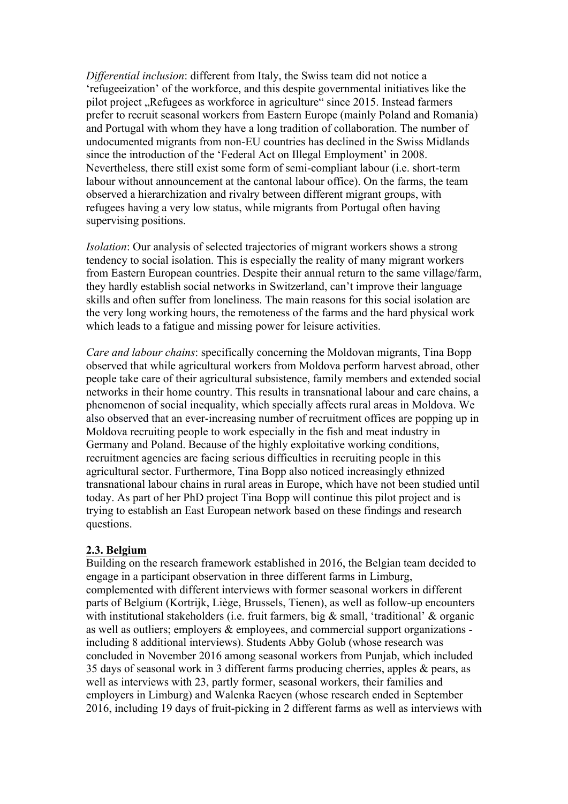*Differential inclusion*: different from Italy, the Swiss team did not notice a 'refugeeization' of the workforce, and this despite governmental initiatives like the pilot project "Refugees as workforce in agriculture" since 2015. Instead farmers prefer to recruit seasonal workers from Eastern Europe (mainly Poland and Romania) and Portugal with whom they have a long tradition of collaboration. The number of undocumented migrants from non-EU countries has declined in the Swiss Midlands since the introduction of the 'Federal Act on Illegal Employment' in 2008. Nevertheless, there still exist some form of semi-compliant labour (i.e. short-term labour without announcement at the cantonal labour office). On the farms, the team observed a hierarchization and rivalry between different migrant groups, with refugees having a very low status, while migrants from Portugal often having supervising positions.

*Isolation*: Our analysis of selected trajectories of migrant workers shows a strong tendency to social isolation. This is especially the reality of many migrant workers from Eastern European countries. Despite their annual return to the same village/farm, they hardly establish social networks in Switzerland, can't improve their language skills and often suffer from loneliness. The main reasons for this social isolation are the very long working hours, the remoteness of the farms and the hard physical work which leads to a fatigue and missing power for leisure activities.

*Care and labour chains*: specifically concerning the Moldovan migrants, Tina Bopp observed that while agricultural workers from Moldova perform harvest abroad, other people take care of their agricultural subsistence, family members and extended social networks in their home country. This results in transnational labour and care chains, a phenomenon of social inequality, which specially affects rural areas in Moldova. We also observed that an ever-increasing number of recruitment offices are popping up in Moldova recruiting people to work especially in the fish and meat industry in Germany and Poland. Because of the highly exploitative working conditions, recruitment agencies are facing serious difficulties in recruiting people in this agricultural sector. Furthermore, Tina Bopp also noticed increasingly ethnized transnational labour chains in rural areas in Europe, which have not been studied until today. As part of her PhD project Tina Bopp will continue this pilot project and is trying to establish an East European network based on these findings and research questions.

#### **2.3. Belgium**

Building on the research framework established in 2016, the Belgian team decided to engage in a participant observation in three different farms in Limburg, complemented with different interviews with former seasonal workers in different parts of Belgium (Kortrijk, Liège, Brussels, Tienen), as well as follow-up encounters with institutional stakeholders (i.e. fruit farmers, big & small, 'traditional' & organic as well as outliers; employers & employees, and commercial support organizations including 8 additional interviews). Students Abby Golub (whose research was concluded in November 2016 among seasonal workers from Punjab, which included 35 days of seasonal work in 3 different farms producing cherries, apples & pears, as well as interviews with 23, partly former, seasonal workers, their families and employers in Limburg) and Walenka Raeyen (whose research ended in September 2016, including 19 days of fruit-picking in 2 different farms as well as interviews with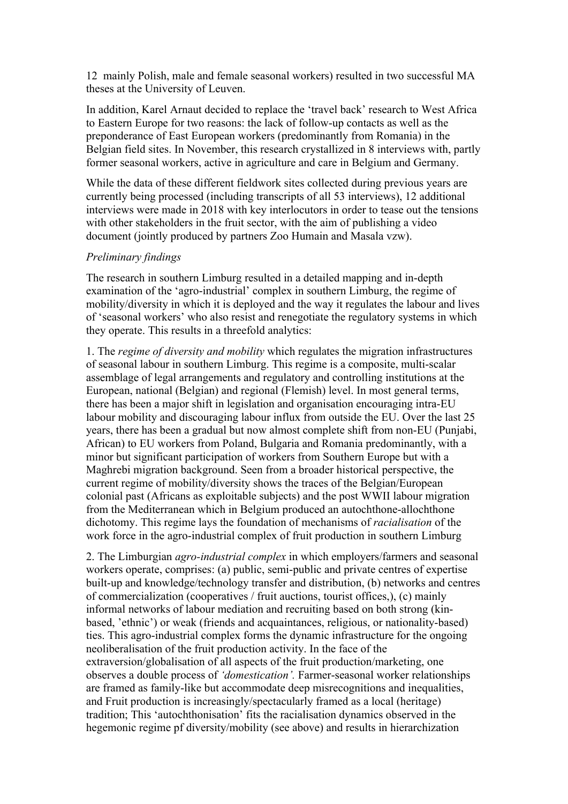12 mainly Polish, male and female seasonal workers) resulted in two successful MA theses at the University of Leuven.

In addition, Karel Arnaut decided to replace the 'travel back' research to West Africa to Eastern Europe for two reasons: the lack of follow-up contacts as well as the preponderance of East European workers (predominantly from Romania) in the Belgian field sites. In November, this research crystallized in 8 interviews with, partly former seasonal workers, active in agriculture and care in Belgium and Germany.

While the data of these different fieldwork sites collected during previous years are currently being processed (including transcripts of all 53 interviews), 12 additional interviews were made in 2018 with key interlocutors in order to tease out the tensions with other stakeholders in the fruit sector, with the aim of publishing a video document (jointly produced by partners Zoo Humain and Masala vzw).

#### *Preliminary findings*

The research in southern Limburg resulted in a detailed mapping and in-depth examination of the 'agro-industrial' complex in southern Limburg, the regime of mobility/diversity in which it is deployed and the way it regulates the labour and lives of 'seasonal workers' who also resist and renegotiate the regulatory systems in which they operate. This results in a threefold analytics:

1. The *regime of diversity and mobility* which regulates the migration infrastructures of seasonal labour in southern Limburg. This regime is a composite, multi-scalar assemblage of legal arrangements and regulatory and controlling institutions at the European, national (Belgian) and regional (Flemish) level. In most general terms, there has been a major shift in legislation and organisation encouraging intra-EU labour mobility and discouraging labour influx from outside the EU. Over the last 25 years, there has been a gradual but now almost complete shift from non-EU (Punjabi, African) to EU workers from Poland, Bulgaria and Romania predominantly, with a minor but significant participation of workers from Southern Europe but with a Maghrebi migration background. Seen from a broader historical perspective, the current regime of mobility/diversity shows the traces of the Belgian/European colonial past (Africans as exploitable subjects) and the post WWII labour migration from the Mediterranean which in Belgium produced an autochthone-allochthone dichotomy. This regime lays the foundation of mechanisms of *racialisation* of the work force in the agro-industrial complex of fruit production in southern Limburg

2. The Limburgian *agro-industrial complex* in which employers/farmers and seasonal workers operate, comprises: (a) public, semi-public and private centres of expertise built-up and knowledge/technology transfer and distribution, (b) networks and centres of commercialization (cooperatives / fruit auctions, tourist offices,), (c) mainly informal networks of labour mediation and recruiting based on both strong (kinbased, 'ethnic') or weak (friends and acquaintances, religious, or nationality-based) ties. This agro-industrial complex forms the dynamic infrastructure for the ongoing neoliberalisation of the fruit production activity. In the face of the extraversion/globalisation of all aspects of the fruit production/marketing, one observes a double process of *'domestication'.* Farmer-seasonal worker relationships are framed as family-like but accommodate deep misrecognitions and inequalities, and Fruit production is increasingly/spectacularly framed as a local (heritage) tradition; This 'autochthonisation' fits the racialisation dynamics observed in the hegemonic regime pf diversity/mobility (see above) and results in hierarchization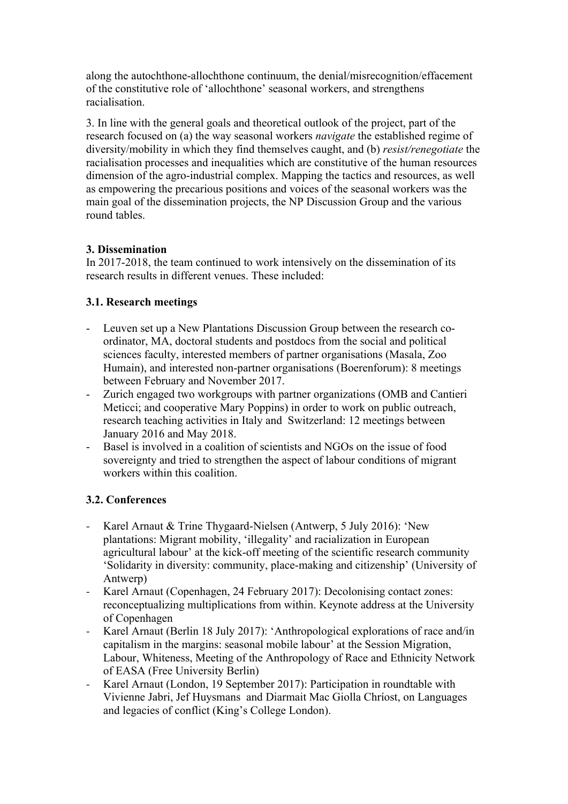along the autochthone-allochthone continuum, the denial/misrecognition/effacement of the constitutive role of 'allochthone' seasonal workers, and strengthens racialisation.

3. In line with the general goals and theoretical outlook of the project, part of the research focused on (a) the way seasonal workers *navigate* the established regime of diversity/mobility in which they find themselves caught, and (b) *resist/renegotiate* the racialisation processes and inequalities which are constitutive of the human resources dimension of the agro-industrial complex. Mapping the tactics and resources, as well as empowering the precarious positions and voices of the seasonal workers was the main goal of the dissemination projects, the NP Discussion Group and the various round tables.

# **3. Dissemination**

In 2017-2018, the team continued to work intensively on the dissemination of its research results in different venues. These included:

# **3.1. Research meetings**

- Leuven set up a New Plantations Discussion Group between the research coordinator, MA, doctoral students and postdocs from the social and political sciences faculty, interested members of partner organisations (Masala, Zoo Humain), and interested non-partner organisations (Boerenforum): 8 meetings between February and November 2017.
- Zurich engaged two workgroups with partner organizations (OMB and Cantieri Meticci; and cooperative Mary Poppins) in order to work on public outreach, research teaching activities in Italy and Switzerland: 12 meetings between January 2016 and May 2018.
- Basel is involved in a coalition of scientists and NGOs on the issue of food sovereignty and tried to strengthen the aspect of labour conditions of migrant workers within this coalition.

# **3.2. Conferences**

- Karel Arnaut & Trine Thygaard-Nielsen (Antwerp, 5 July 2016): 'New plantations: Migrant mobility, 'illegality' and racialization in European agricultural labour' at the kick-off meeting of the scientific research community 'Solidarity in diversity: community, place-making and citizenship' (University of Antwerp)
- Karel Arnaut (Copenhagen, 24 February 2017): Decolonising contact zones: reconceptualizing multiplications from within. Keynote address at the University of Copenhagen
- Karel Arnaut (Berlin 18 July 2017): 'Anthropological explorations of race and/in capitalism in the margins: seasonal mobile labour' at the Session Migration, Labour, Whiteness, Meeting of the Anthropology of Race and Ethnicity Network of EASA (Free University Berlin)
- Karel Arnaut (London, 19 September 2017): Participation in roundtable with Vivienne Jabri, Jef Huysmans and Diarmait Mac Giolla Chríost, on Languages and legacies of conflict (King's College London).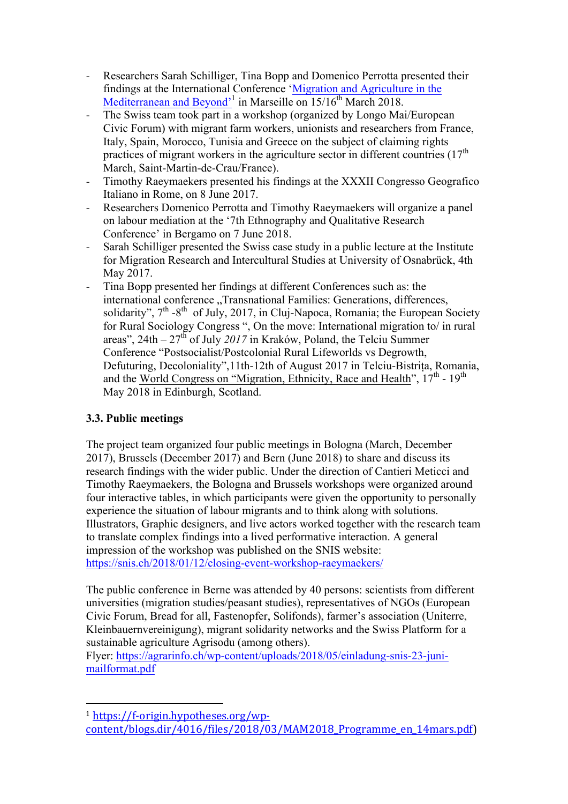- Researchers Sarah Schilliger, Tina Bopp and Domenico Perrotta presented their findings at the International Conference 'Migration and Agriculture in the Mediterranean and Beyond<sup>31</sup> in Marseille on 15/16<sup>th</sup> March 2018.
- The Swiss team took part in a workshop (organized by Longo Mai/European Civic Forum) with migrant farm workers, unionists and researchers from France, Italy, Spain, Morocco, Tunisia and Greece on the subject of claiming rights practices of migrant workers in the agriculture sector in different countries  $(17<sup>th</sup>)$ March, Saint-Martin-de-Crau/France).
- Timothy Raeymaekers presented his findings at the XXXII Congresso Geografico Italiano in Rome, on 8 June 2017.
- Researchers Domenico Perrotta and Timothy Raeymaekers will organize a panel on labour mediation at the '7th Ethnography and Qualitative Research Conference' in Bergamo on 7 June 2018.
- Sarah Schilliger presented the Swiss case study in a public lecture at the Institute for Migration Research and Intercultural Studies at University of Osnabrück, 4th May 2017.
- Tina Bopp presented her findings at different Conferences such as: the international conference "Transnational Families: Generations, differences, solidarity",  $7<sup>th</sup> -8<sup>th</sup>$  of July, 2017, in Cluj-Napoca, Romania; the European Society for Rural Sociology Congress ", On the move: International migration to/ in rural areas", 24th – 27th of July *2017* in Kraków, Poland, the Telciu Summer Conference "Postsocialist/Postcolonial Rural Lifeworlds vs Degrowth, Defuturing, Decoloniality",11th-12th of August 2017 in Telciu-Bistrița, Romania, and the World Congress on "Migration, Ethnicity, Race and Health",  $17<sup>th</sup>$  -  $19<sup>th</sup>$ May 2018 in Edinburgh, Scotland.

# **3.3. Public meetings**

 

The project team organized four public meetings in Bologna (March, December 2017), Brussels (December 2017) and Bern (June 2018) to share and discuss its research findings with the wider public. Under the direction of Cantieri Meticci and Timothy Raeymaekers, the Bologna and Brussels workshops were organized around four interactive tables, in which participants were given the opportunity to personally experience the situation of labour migrants and to think along with solutions. Illustrators, Graphic designers, and live actors worked together with the research team to translate complex findings into a lived performative interaction. A general impression of the workshop was published on the SNIS website: https://snis.ch/2018/01/12/closing-event-workshop-raeymaekers/

The public conference in Berne was attended by 40 persons: scientists from different universities (migration studies/peasant studies), representatives of NGOs (European Civic Forum, Bread for all, Fastenopfer, Solifonds), farmer's association (Uniterre, Kleinbauernvereinigung), migrant solidarity networks and the Swiss Platform for a sustainable agriculture Agrisodu (among others).

Flyer: https://agrarinfo.ch/wp-content/uploads/2018/05/einladung-snis-23-junimailformat.pdf

<sup>1</sup> https://f-origin.hypotheses.org/wpcontent/blogs.dir/4016/files/2018/03/MAM2018\_Programme\_en\_14mars.pdf)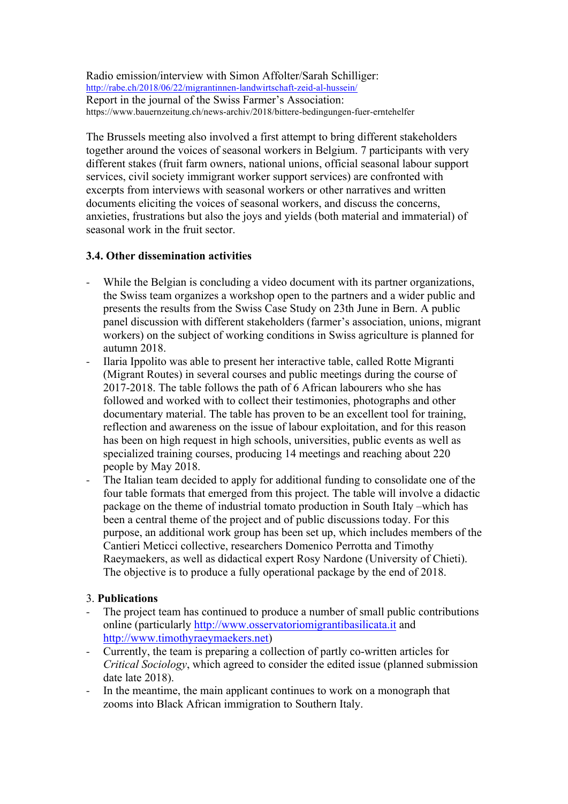Radio emission/interview with Simon Affolter/Sarah Schilliger: http://rabe.ch/2018/06/22/migrantinnen-landwirtschaft-zeid-al-hussein/ Report in the journal of the Swiss Farmer's Association: https://www.bauernzeitung.ch/news-archiv/2018/bittere-bedingungen-fuer-erntehelfer

The Brussels meeting also involved a first attempt to bring different stakeholders together around the voices of seasonal workers in Belgium. 7 participants with very different stakes (fruit farm owners, national unions, official seasonal labour support services, civil society immigrant worker support services) are confronted with excerpts from interviews with seasonal workers or other narratives and written documents eliciting the voices of seasonal workers, and discuss the concerns, anxieties, frustrations but also the joys and yields (both material and immaterial) of seasonal work in the fruit sector.

## **3.4. Other dissemination activities**

- While the Belgian is concluding a video document with its partner organizations, the Swiss team organizes a workshop open to the partners and a wider public and presents the results from the Swiss Case Study on 23th June in Bern. A public panel discussion with different stakeholders (farmer's association, unions, migrant workers) on the subject of working conditions in Swiss agriculture is planned for autumn 2018.
- Ilaria Ippolito was able to present her interactive table, called Rotte Migranti (Migrant Routes) in several courses and public meetings during the course of 2017-2018. The table follows the path of 6 African labourers who she has followed and worked with to collect their testimonies, photographs and other documentary material. The table has proven to be an excellent tool for training, reflection and awareness on the issue of labour exploitation, and for this reason has been on high request in high schools, universities, public events as well as specialized training courses, producing 14 meetings and reaching about 220 people by May 2018.
- The Italian team decided to apply for additional funding to consolidate one of the four table formats that emerged from this project. The table will involve a didactic package on the theme of industrial tomato production in South Italy –which has been a central theme of the project and of public discussions today. For this purpose, an additional work group has been set up, which includes members of the Cantieri Meticci collective, researchers Domenico Perrotta and Timothy Raeymaekers, as well as didactical expert Rosy Nardone (University of Chieti). The objective is to produce a fully operational package by the end of 2018.

## 3. **Publications**

- The project team has continued to produce a number of small public contributions online (particularly http://www.osservatoriomigrantibasilicata.it and http://www.timothyraeymaekers.net)
- Currently, the team is preparing a collection of partly co-written articles for *Critical Sociology*, which agreed to consider the edited issue (planned submission date late 2018).
- In the meantime, the main applicant continues to work on a monograph that zooms into Black African immigration to Southern Italy.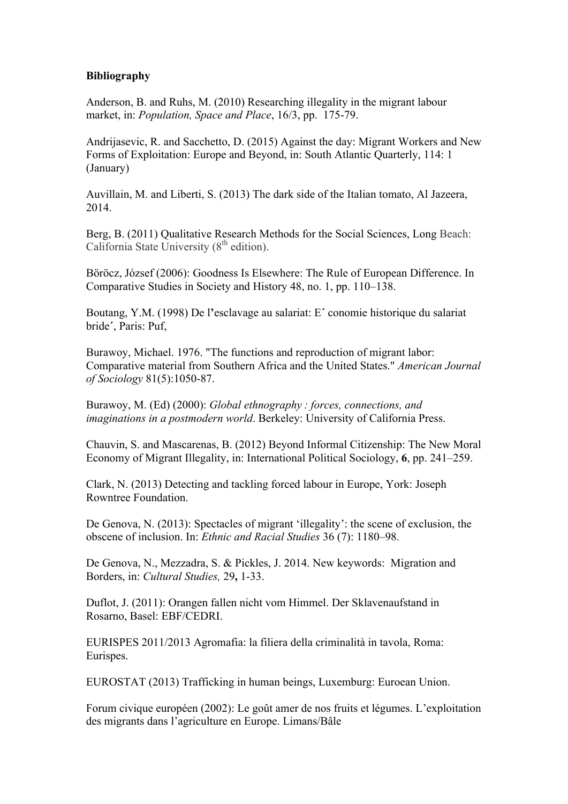#### **Bibliography**

Anderson, B. and Ruhs, M. (2010) Researching illegality in the migrant labour market, in: *Population, Space and Place*, 16/3, pp. 175-79.

Andrijasevic, R. and Sacchetto, D. (2015) Against the day: Migrant Workers and New Forms of Exploitation: Europe and Beyond, in: South Atlantic Quarterly, 114: 1 (January)

Auvillain, M. and Liberti, S. (2013) The dark side of the Italian tomato, Al Jazeera, 2014.

Berg, B. (2011) Qualitative Research Methods for the Social Sciences, Long Beach: California State University  $(8<sup>th</sup>$  edition).

Böröcz, József (2006): Goodness Is Elsewhere: The Rule of European Difference. In Comparative Studies in Society and History 48, no. 1, pp. 110–138.

Boutang, Y.M. (1998) De l**'**esclavage au salariat: E**´** conomie historique du salariat bride**´**, Paris: Puf,

Burawoy, Michael. 1976. "The functions and reproduction of migrant labor: Comparative material from Southern Africa and the United States." *American Journal of Sociology* 81(5):1050-87.

Burawoy, M. (Ed) (2000): *Global ethnography : forces, connections, and imaginations in a postmodern world*. Berkeley: University of California Press.

Chauvin, S. and Mascarenas, B. (2012) Beyond Informal Citizenship: The New Moral Economy of Migrant Illegality, in: International Political Sociology, **6**, pp. 241–259.

Clark, N. (2013) Detecting and tackling forced labour in Europe, York: Joseph Rowntree Foundation.

De Genova, N. (2013): Spectacles of migrant 'illegality': the scene of exclusion, the obscene of inclusion. In: *Ethnic and Racial Studies* 36 (7): 1180–98.

De Genova, N., Mezzadra, S. & Pickles, J. 2014. New keywords: Migration and Borders, in: *Cultural Studies,* 29**,** 1-33.

Duflot, J. (2011): Orangen fallen nicht vom Himmel. Der Sklavenaufstand in Rosarno, Basel: EBF/CEDRI.

EURISPES 2011/2013 Agromafia: la filiera della criminalità in tavola, Roma: Eurispes.

EUROSTAT (2013) Trafficking in human beings, Luxemburg: Euroean Union.

Forum civique européen (2002): Le goût amer de nos fruits et légumes. L'exploitation des migrants dans l'agriculture en Europe. Limans/Bâle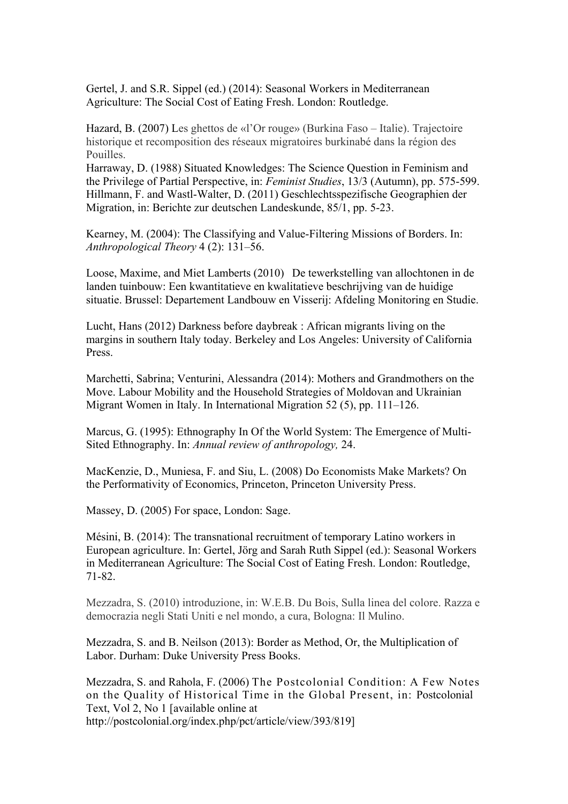Gertel, J. and S.R. Sippel (ed.) (2014): Seasonal Workers in Mediterranean Agriculture: The Social Cost of Eating Fresh. London: Routledge.

Hazard, B. (2007) Les ghettos de «l'Or rouge» (Burkina Faso – Italie). Trajectoire historique et recomposition des réseaux migratoires burkinabé dans la région des Pouilles.

Harraway, D. (1988) Situated Knowledges: The Science Question in Feminism and the Privilege of Partial Perspective, in: *Feminist Studies*, 13/3 (Autumn), pp. 575-599. Hillmann, F. and Wastl-Walter, D. (2011) Geschlechtsspezifische Geographien der Migration, in: Berichte zur deutschen Landeskunde, 85/1, pp. 5-23.

Kearney, M. (2004): The Classifying and Value-Filtering Missions of Borders. In: *Anthropological Theory* 4 (2): 131–56.

Loose, Maxime, and Miet Lamberts (2010) De tewerkstelling van allochtonen in de landen tuinbouw: Een kwantitatieve en kwalitatieve beschrijving van de huidige situatie. Brussel: Departement Landbouw en Visserij: Afdeling Monitoring en Studie.

Lucht, Hans (2012) Darkness before daybreak : African migrants living on the margins in southern Italy today. Berkeley and Los Angeles: University of California Press.

Marchetti, Sabrina; Venturini, Alessandra (2014): Mothers and Grandmothers on the Move. Labour Mobility and the Household Strategies of Moldovan and Ukrainian Migrant Women in Italy. In International Migration 52 (5), pp. 111–126.

Marcus, G. (1995): Ethnography In Of the World System: The Emergence of Multi-Sited Ethnography. In: *Annual review of anthropology,* 24.

MacKenzie, D., Muniesa, F. and Siu, L. (2008) Do Economists Make Markets? On the Performativity of Economics, Princeton, Princeton University Press.

Massey, D. (2005) For space, London: Sage.

Mésini, B. (2014): The transnational recruitment of temporary Latino workers in European agriculture. In: Gertel, Jörg and Sarah Ruth Sippel (ed.): Seasonal Workers in Mediterranean Agriculture: The Social Cost of Eating Fresh. London: Routledge, 71-82.

Mezzadra, S. (2010) introduzione, in: W.E.B. Du Bois, Sulla linea del colore. Razza e democrazia negli Stati Uniti e nel mondo, a cura, Bologna: Il Mulino.

Mezzadra, S. and B. Neilson (2013): Border as Method, Or, the Multiplication of Labor. Durham: Duke University Press Books.

Mezzadra, S. and Rahola, F. (2006) The Postcolonial Condition: A Few Notes on the Quality of Historical Time in the Global Present, in: Postcolonial Text, Vol 2, No 1 [available online at http://postcolonial.org/index.php/pct/article/view/393/819]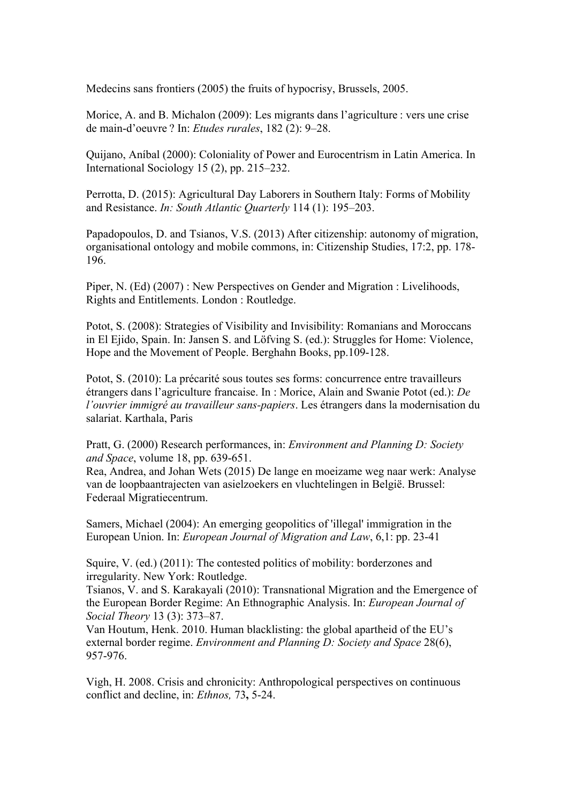Medecins sans frontiers (2005) the fruits of hypocrisy, Brussels, 2005.

Morice, A. and B. Michalon (2009): Les migrants dans l'agriculture : vers une crise de main-d'oeuvre ? In: *Etudes rurales*, 182 (2): 9–28.

Quijano, Aníbal (2000): Coloniality of Power and Eurocentrism in Latin America. In International Sociology 15 (2), pp. 215–232.

Perrotta, D. (2015): Agricultural Day Laborers in Southern Italy: Forms of Mobility and Resistance. *In: South Atlantic Quarterly* 114 (1): 195–203.

Papadopoulos, D. and Tsianos, V.S. (2013) After citizenship: autonomy of migration, organisational ontology and mobile commons, in: Citizenship Studies, 17:2, pp. 178- 196.

Piper, N. (Ed) (2007) : New Perspectives on Gender and Migration : Livelihoods, Rights and Entitlements. London : Routledge.

Potot, S. (2008): Strategies of Visibility and Invisibility: Romanians and Moroccans in El Ejido, Spain. In: Jansen S. and Löfving S. (ed.): Struggles for Home: Violence, Hope and the Movement of People. Berghahn Books, pp.109-128.

Potot, S. (2010): La précarité sous toutes ses forms: concurrence entre travailleurs étrangers dans l'agriculture francaise. In : Morice, Alain and Swanie Potot (ed.): *De l'ouvrier immigré au travailleur sans-papiers*. Les étrangers dans la modernisation du salariat. Karthala, Paris

Pratt, G. (2000) Research performances, in: *Environment and Planning D: Society and Space*, volume 18, pp. 639-651.

Rea, Andrea, and Johan Wets (2015) De lange en moeizame weg naar werk: Analyse van de loopbaantrajecten van asielzoekers en vluchtelingen in België. Brussel: Federaal Migratiecentrum.

Samers, Michael (2004): An emerging geopolitics of 'illegal' immigration in the European Union. In: *European Journal of Migration and Law*, 6,1: pp. 23-41

Squire, V. (ed.) (2011): The contested politics of mobility: borderzones and irregularity. New York: Routledge.

Tsianos, V. and S. Karakayali (2010): Transnational Migration and the Emergence of the European Border Regime: An Ethnographic Analysis. In: *European Journal of Social Theory* 13 (3): 373–87.

Van Houtum, Henk. 2010. Human blacklisting: the global apartheid of the EU's external border regime. *Environment and Planning D: Society and Space* 28(6), 957-976.

Vigh, H. 2008. Crisis and chronicity: Anthropological perspectives on continuous conflict and decline, in: *Ethnos,* 73**,** 5-24.